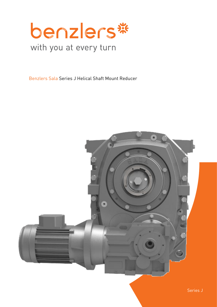

Benzlers Sala Series J Helical Shaft Mount Reducer

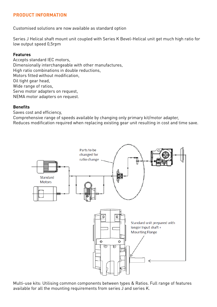## **PRODUCT INFORMATION**

Customised solutions are now available as standard option

Series J Helical shaft mount unit coupled with Series K Bevel-Helical unit get much high ratio for low output speed 0,5rpm

### **Features**

Accepts standard IEC motors, Dimensionally interchangeable with other manufactures, High ratio combinations in double reductions, Motors fitted without modification, Oil tight gear head, Wide range of ratios, Servo motor adapters on request, NEMA motor adapters on request.

#### **Benefits**

Saves cost and efficiency,

Comprehensive range of speeds available by changing only primary kit/motor adapter, Reduces modification required when replacing existing gear unit resulting in cost and time save.



Multi-use kits: Utilising common components between types & Ratios. Full range of features available for all the mounting requirements from series J and series K.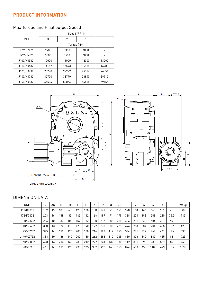# **PRODUCT INFORMATION**

# Max Torque and Final output Speed

|             | Speed (RPM) |       |       |       |  |  |  |  |  |  |
|-------------|-------------|-------|-------|-------|--|--|--|--|--|--|
| <b>UNIT</b> | 3           | 2     |       | 0.5   |  |  |  |  |  |  |
|             |             |       |       |       |  |  |  |  |  |  |
| J52/K0332   | 2900        | 3300  | 4000  |       |  |  |  |  |  |  |
| J72/K0432   | 5000        | 5500  | 6000  |       |  |  |  |  |  |  |
| J100/K0532  | 10000       | 11000 | 12000 | 13000 |  |  |  |  |  |  |
| J110/K0632  | 14157       | 15573 | 16988 | 16988 |  |  |  |  |  |  |
| J125/K0732  | 20270       | 22297 | 24324 | 26351 |  |  |  |  |  |  |
| J140/K0732  | 30700       | 33770 | 36840 | 39910 |  |  |  |  |  |  |
| J160/K0832  | 45504       | 50054 | 54605 | 59155 |  |  |  |  |  |  |



-\* TORQUE ARM LOCATION

### DIMENSION DATA

| UNIT       | A   | AC | B   | D   | E   | Н   | K   | P   | Q   | Q <sub>1</sub> | U   |     | W   | χ   |     | $\overline{ }$ | Wt kg |
|------------|-----|----|-----|-----|-----|-----|-----|-----|-----|----------------|-----|-----|-----|-----|-----|----------------|-------|
| J52/K0332  | 189 | 13 | 107 | 60  | 120 | 108 | 138 | 167 | 63  | 59             | 320 | 160 | 166 | 443 | 251 | 63             | 90    |
| J72/K0432  | 203 | 16 | 138 | 85  | 145 | 12  | 166 | 187 | 71  | 79             | 388 | 200 | 193 | 508 | 280 | 75.5           | 145   |
| J100/K0532 | 286 | 10 | 137 | 100 | 157 | 132 | 180 | 217 | 80  | 219            | 436 | 211 | 238 | 584 | 337 | 94             | 310   |
| J110/K0632 | 330 | 13 | 174 | 10  | 170 | 140 | 197 | 233 | 90  | 229            | 496 | 253 | 284 | 704 | 405 | 112            | 420   |
| J125/K0732 | 375 | 14 | 179 | 125 | 200 | 180 | 214 | 288 | 112 | 265            | 534 | 261 | 319 | 768 | 461 | 126            | 535   |
| J140/K0732 | 388 | 10 | 186 | 140 | 200 | 180 | 262 | 288 | 112 | 265            | 630 | 308 | 340 | 830 | 465 | 88             | 725   |
| J160/K0832 | 428 | 14 | 214 | 160 | 230 | 212 | 297 | 341 | 132 | 330            | 712 | 331 | 390 | 933 | 527 | 87             | 960   |
| J190/K0931 | 461 | 14 | 237 | 190 | 290 | 265 | 332 | 420 | 160 | 355            | 824 | 403 | 453 | 103 | 623 | 136            | 1330  |